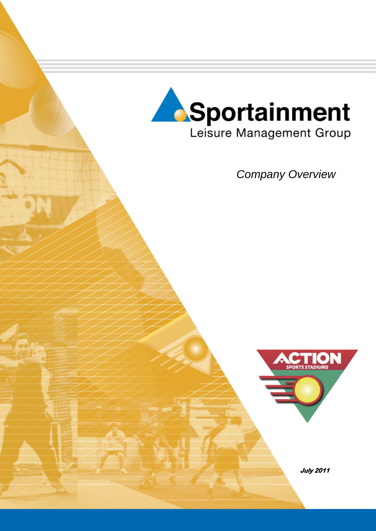

*Company Overview*

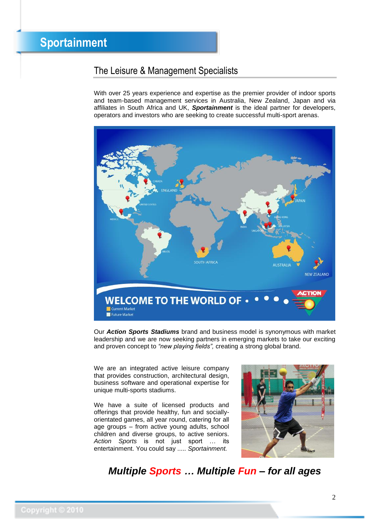# **Sportainment**

## The Leisure & Management Specialists

With over 25 years experience and expertise as the premier provider of indoor sports and team-based management services in Australia, New Zealand, Japan and via affiliates in South Africa and UK, *Sportainment* is the ideal partner for developers, operators and investors who are seeking to create successful multi-sport arenas.



Our *Action Sports Stadiums* brand and business model is synonymous with market leadership and we are now seeking partners in emerging markets to take our exciting and proven concept to *"new playing fields",* creating a strong global brand.

We are an integrated active leisure company that provides construction, architectural design, business software and operational expertise for unique multi-sports stadiums.

We have a suite of licensed products and offerings that provide healthy, fun and sociallyorientated games, all year round, catering for all age groups – from active young adults, school children and diverse groups, to active seniors. *Action Sports* is not just sport … its entertainment. You could say ..... *Sportainment.*



*Multiple Sports … Multiple Fun – for all ages*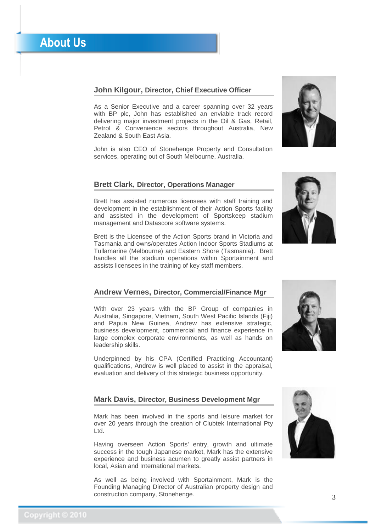## **John Kilgour, Director, Chief Executive Officer**

As a Senior Executive and a career spanning over 32 years with BP plc, John has established an enviable track record delivering major investment projects in the Oil & Gas, Retail, Petrol & Convenience sectors throughout Australia, New Zealand & South East Asia.

John is also CEO of Stonehenge Property and Consultation services, operating out of South Melbourne, Australia.

## **Brett Clark, Director, Operations Manager**

Brett has assisted numerous licensees with staff training and development in the establishment of their Action Sports facility and assisted in the development of Sportskeep stadium management and Datascore software systems.

Brett is the Licensee of the Action Sports brand in Victoria and Tasmania and owns/operates Action Indoor Sports Stadiums at Tullamarine (Melbourne) and Eastern Shore (Tasmania). Brett handles all the stadium operations within Sportainment and assists licensees in the training of key staff members.

## **Andrew Vernes, Director, Commercial/Finance Mgr**

With over 23 years with the BP Group of companies in Australia, Singapore, Vietnam, South West Pacific Islands (Fiji) and Papua New Guinea, Andrew has extensive strategic, business development, commercial and finance experience in large complex corporate environments, as well as hands on leadership skills.

Underpinned by his CPA (Certified Practicing Accountant) qualifications, Andrew is well placed to assist in the appraisal, evaluation and delivery of this strategic business opportunity.

## **Mark Davis, Director, Business Development Mgr**

Mark has been involved in the sports and leisure market for over 20 years through the creation of Clubtek International Pty Ltd.

Having overseen Action Sports' entry, growth and ultimate success in the tough Japanese market, Mark has the extensive experience and business acumen to greatly assist partners in local, Asian and International markets.

As well as being involved with Sportainment, Mark is the Founding Managing Director of Australian property design and construction company, Stonehenge.







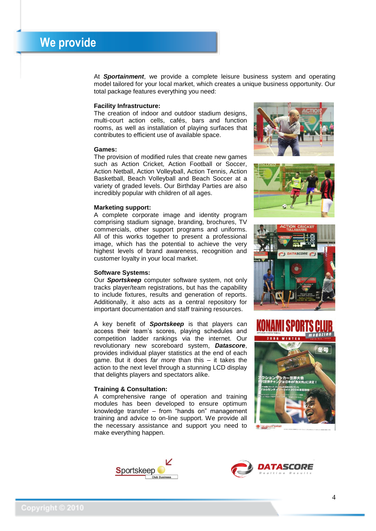At *Sportainment*, we provide a complete leisure business system and operating model tailored for your local market, which creates a unique business opportunity. Our total package features everything you need:

#### **Facility Infrastructure:**

The creation of indoor and outdoor stadium designs, multi-court action cells, cafés, bars and function rooms, as well as installation of playing surfaces that contributes to efficient use of available space.

#### **Games:**

The provision of modified rules that create new games such as Action Cricket, Action Football or Soccer, Action Netball, Action Volleyball, Action Tennis, Action Basketball, Beach Volleyball and Beach Soccer at a variety of graded levels. Our Birthday Parties are also incredibly popular with children of all ages.

### **Marketing support:**

A complete corporate image and identity program comprising stadium signage, branding, brochures, TV commercials, other support programs and uniforms. All of this works together to present a professional image, which has the potential to achieve the very highest levels of brand awareness, recognition and customer loyalty in your local market.

#### **Software Systems:**

Our *Sportskeep* computer software system, not only tracks player/team registrations, but has the capability to include fixtures, results and generation of reports. Additionally, it also acts as a central repository for important documentation and staff training resources.

A key benefit of *Sportskeep* is that players can access their team's scores, playing schedules and competition ladder rankings via the internet. Our revolutionary new scoreboard system, *Datascore*, provides individual player statistics at the end of each game. But it does *far more* than this – it takes the action to the next level through a stunning LCD display that delights players and spectators alike.

#### **Training & Consultation:**

A comprehensive range of operation and training modules has been developed to ensure optimum knowledge transfer – from "hands on" management training and advice to on-line support. We provide all the necessary assistance and support you need to make everything happen.











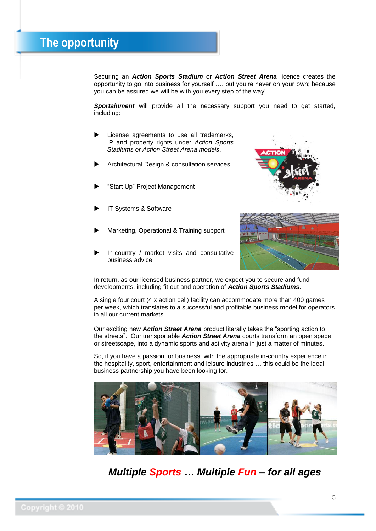Securing an *Action Sports Stadium* or *Action Street Arena* licence creates the opportunity to go into business for yourself …. but you're never on your own; because you can be assured we will be with you every step of the way!

*Sportainment* will provide all the necessary support you need to get started, including:

- License agreements to use all trademarks, IP and property rights under *Action Sports Stadiums or Action Street Arena models*.
- Architectural Design & consultation services
- "Start Up" Project Management
- IT Systems & Software
- Marketing, Operational & Training support





 In-country / market visits and consultative business advice

In return, as our licensed business partner, we expect you to secure and fund developments, including fit out and operation of *Action Sports Stadiums*.

A single four court (4 x action cell) facility can accommodate more than 400 games per week, which translates to a successful and profitable business model for operators in all our current markets.

Our exciting new *Action Street Arena* product literally takes the "sporting action to the streets". Our transportable *Action Street Arena* courts transform an open space or streetscape, into a dynamic sports and activity arena in just a matter of minutes.

So, if you have a passion for business, with the appropriate in-country experience in the hospitality, sport, entertainment and leisure industries … this could be the ideal business partnership you have been looking for.



*Multiple Sports … Multiple Fun – for all ages*